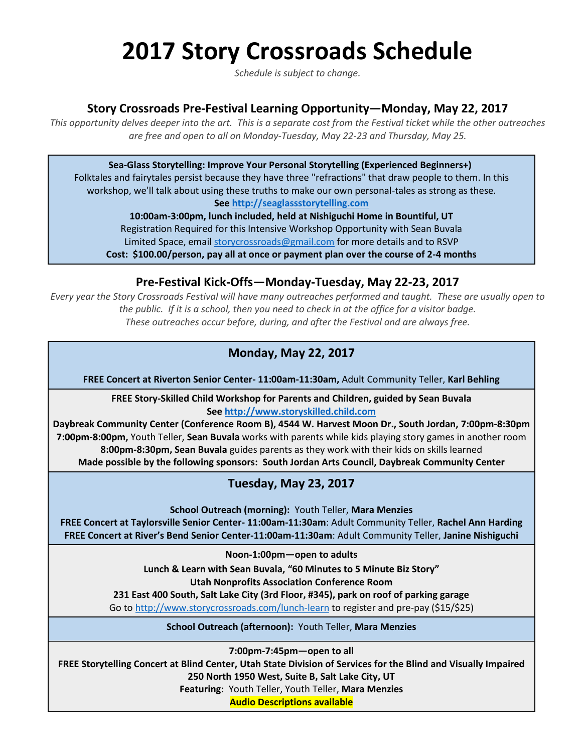# **2017 Story Crossroads Schedule**

*Schedule is subject to change.*

#### **Story Crossroads Pre-Festival Learning Opportunity—Monday, May 22, 2017**

This opportunity delves deeper into the art. This is a separate cost from the Festival ticket while the other outreaches *are free and open to all on Monday-Tuesday, May 22-23 and Thursday, May 25.*

**Sea-Glass Storytelling: Improve Your Personal Storytelling (Experienced Beginners+)**

Folktales and fairytales persist because they have three "refractions" that draw people to them. In this workshop, we'll talk about using these truths to make our own personal-tales as strong as these. **See [http://seaglassstorytelling.com](http://seaglassstorytelling.com/)**

**10:00am-3:00pm, lunch included, held at Nishiguchi Home in Bountiful, UT** Registration Required for this Intensive Workshop Opportunity with Sean Buvala Limited Space, email [storycrossroads@gmail.com](mailto:storycrossroads@gmail.com) for more details and to RSVP **Cost: \$100.00/person, pay all at once or payment plan over the course of 2-4 months**

## **Pre-Festival Kick-Offs—Monday-Tuesday, May 22-23, 2017**

Every year the Story Crossroads Festival will have many outreaches performed and taught. These are usually open to the public. If it is a school, then you need to check in at the office for a visitor badge. *These outreaches occur before, during, and after the Festival and are always free.*

# **Monday, May 22, 2017**

**FREE Concert at Riverton Senior Center- 11:00am-11:30am,** Adult Community Teller, **Karl Behling**

**FREE Story-Skilled Child Workshop for Parents and Children, guided by Sean Buvala See [http://www.storyskilled.child.com](http://www.storyskilled.child.com/)**

**Daybreak Community Center (Conference Room B), 4544 W. Harvest Moon Dr., South Jordan, 7:00pm-8:30pm 7:00pm-8:00pm,** Youth Teller, **Sean Buvala** works with parents while kids playing story games in another room **8:00pm-8:30pm, Sean Buvala** guides parents as they work with their kids on skills learned **Made possible by the following sponsors: South Jordan Arts Council, Daybreak Community Center**

## **Tuesday, May 23, 2017**

**School Outreach (morning):** Youth Teller, **Mara Menzies FREE Concert at Taylorsville Senior Center- 11:00am-11:30am**: Adult Community Teller, **Rachel Ann Harding FREE Concert at River's Bend Senior Center-11:00am-11:30am**: Adult Community Teller, **Janine Nishiguchi**

**Noon-1:00pm—open to adults**

**Lunch & Learn with Sean Buvala, "60 Minutes to 5 Minute Biz Story"**

**Utah Nonprofits Association Conference Room**

**231 East 400 South, Salt Lake City (3rd Floor, #345), park on roof of parking garage**

Go to<http://www.storycrossroads.com/lunch-learn> to register and pre-pay (\$15/\$25)

**School Outreach (afternoon):** Youth Teller, **Mara Menzies**

**7:00pm-7:45pm—open to all**

**FREE Storytelling Concert at Blind Center, Utah State Division of Services for the Blind and Visually Impaired 250 North 1950 West, Suite B, Salt Lake City, UT**

**Featuring**: Youth Teller, Youth Teller, **Mara Menzies**

**Audio Descriptions available**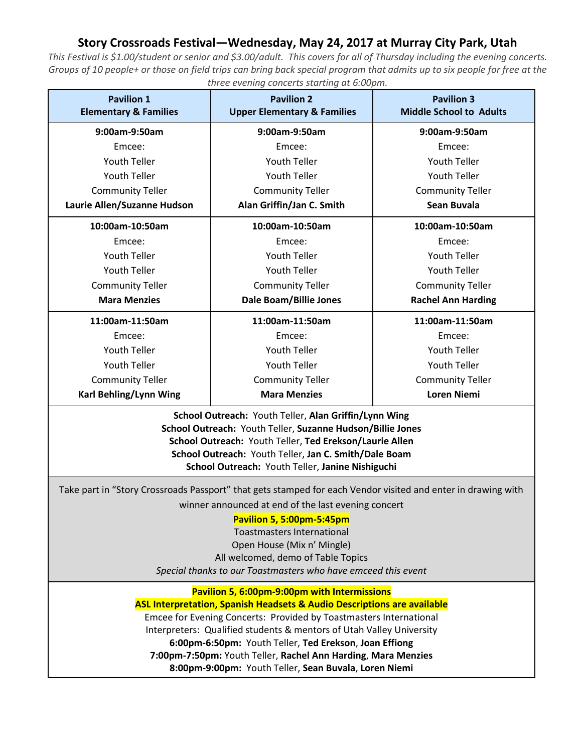## **Story Crossroads Festival—Wednesday, May 24, 2017 at Murray City Park, Utah**

*This Festival is \$1.00/student or senior and \$3.00/adult. This covers for all of Thursday including the evening concerts. Groups of 10 people+ or those on field trips can bring back special program that admits up to six people for free at the three evening concerts starting at 6:00pm.*

| <b>Pavilion 1</b><br><b>Elementary &amp; Families</b>                                                                                                                                                                                                                                                                                                                                                                                                                | <b>Pavilion 2</b><br><b>Upper Elementary &amp; Families</b> | <b>Pavilion 3</b><br><b>Middle School to Adults</b> |
|----------------------------------------------------------------------------------------------------------------------------------------------------------------------------------------------------------------------------------------------------------------------------------------------------------------------------------------------------------------------------------------------------------------------------------------------------------------------|-------------------------------------------------------------|-----------------------------------------------------|
| 9:00am-9:50am                                                                                                                                                                                                                                                                                                                                                                                                                                                        | 9:00am-9:50am                                               | 9:00am-9:50am                                       |
| Emcee:                                                                                                                                                                                                                                                                                                                                                                                                                                                               | Emcee:                                                      | Emcee:                                              |
| <b>Youth Teller</b>                                                                                                                                                                                                                                                                                                                                                                                                                                                  | <b>Youth Teller</b>                                         | Youth Teller                                        |
| <b>Youth Teller</b>                                                                                                                                                                                                                                                                                                                                                                                                                                                  | <b>Youth Teller</b>                                         | <b>Youth Teller</b>                                 |
| <b>Community Teller</b>                                                                                                                                                                                                                                                                                                                                                                                                                                              | <b>Community Teller</b>                                     | <b>Community Teller</b>                             |
| Laurie Allen/Suzanne Hudson                                                                                                                                                                                                                                                                                                                                                                                                                                          | Alan Griffin/Jan C. Smith                                   | Sean Buvala                                         |
| 10:00am-10:50am                                                                                                                                                                                                                                                                                                                                                                                                                                                      | 10:00am-10:50am                                             | 10:00am-10:50am                                     |
| Emcee:                                                                                                                                                                                                                                                                                                                                                                                                                                                               | Emcee:                                                      | Emcee:                                              |
| <b>Youth Teller</b>                                                                                                                                                                                                                                                                                                                                                                                                                                                  | <b>Youth Teller</b>                                         | <b>Youth Teller</b>                                 |
| <b>Youth Teller</b>                                                                                                                                                                                                                                                                                                                                                                                                                                                  | <b>Youth Teller</b>                                         | <b>Youth Teller</b>                                 |
| <b>Community Teller</b>                                                                                                                                                                                                                                                                                                                                                                                                                                              | <b>Community Teller</b>                                     | <b>Community Teller</b>                             |
| <b>Mara Menzies</b>                                                                                                                                                                                                                                                                                                                                                                                                                                                  | Dale Boam/Billie Jones                                      | <b>Rachel Ann Harding</b>                           |
| 11:00am-11:50am                                                                                                                                                                                                                                                                                                                                                                                                                                                      | 11:00am-11:50am                                             | 11:00am-11:50am                                     |
| Emcee:                                                                                                                                                                                                                                                                                                                                                                                                                                                               | Emcee:                                                      | Emcee:                                              |
| <b>Youth Teller</b>                                                                                                                                                                                                                                                                                                                                                                                                                                                  | <b>Youth Teller</b>                                         | Youth Teller                                        |
| <b>Youth Teller</b>                                                                                                                                                                                                                                                                                                                                                                                                                                                  | <b>Youth Teller</b>                                         | <b>Youth Teller</b>                                 |
| <b>Community Teller</b>                                                                                                                                                                                                                                                                                                                                                                                                                                              | <b>Community Teller</b>                                     | <b>Community Teller</b>                             |
| Karl Behling/Lynn Wing                                                                                                                                                                                                                                                                                                                                                                                                                                               | <b>Mara Menzies</b>                                         | <b>Loren Niemi</b>                                  |
| School Outreach: Youth Teller, Alan Griffin/Lynn Wing<br>School Outreach: Youth Teller, Suzanne Hudson/Billie Jones<br>School Outreach: Youth Teller, Ted Erekson/Laurie Allen<br>School Outreach: Youth Teller, Jan C. Smith/Dale Boam<br>School Outreach: Youth Teller, Janine Nishiguchi                                                                                                                                                                          |                                                             |                                                     |
| Take part in "Story Crossroads Passport" that gets stamped for each Vendor visited and enter in drawing with<br>winner announced at end of the last evening concert<br><b>Pavilion 5, 5:00pm-5:45pm</b><br><b>Toastmasters International</b><br>Open House (Mix n' Mingle)<br>All welcomed, demo of Table Topics<br>Special thanks to our Toastmasters who have emceed this event                                                                                    |                                                             |                                                     |
| Pavilion 5, 6:00pm-9:00pm with Intermissions<br><b>ASL Interpretation, Spanish Headsets &amp; Audio Descriptions are available</b><br>Emcee for Evening Concerts: Provided by Toastmasters International<br>Interpreters: Qualified students & mentors of Utah Valley University<br>6:00pm-6:50pm: Youth Teller, Ted Erekson, Joan Effiong<br>7:00pm-7:50pm: Youth Teller, Rachel Ann Harding, Mara Menzies<br>8:00pm-9:00pm: Youth Teller, Sean Buvala, Loren Niemi |                                                             |                                                     |